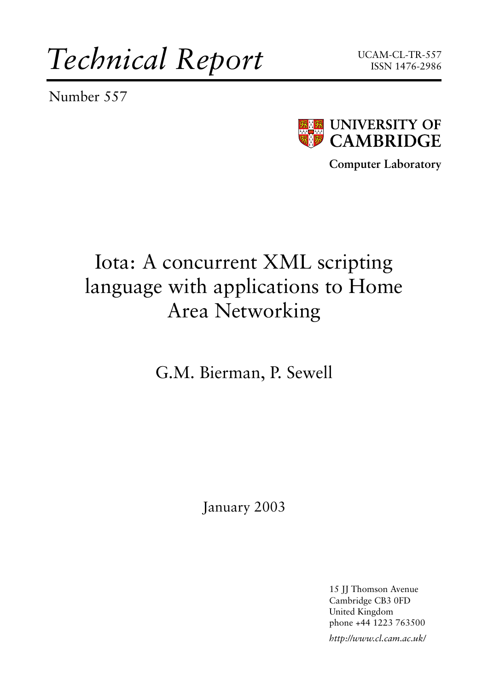*Technical Report*

Number 557





**Computer Laboratory**

# Iota: A concurrent XML scripting language with applications to Home Area Networking

G.M. Bierman, P. Sewell

January 2003

15 JJ Thomson Avenue Cambridge CB3 0FD United Kingdom phone +44 1223 763500

*http://www.cl.cam.ac.uk/*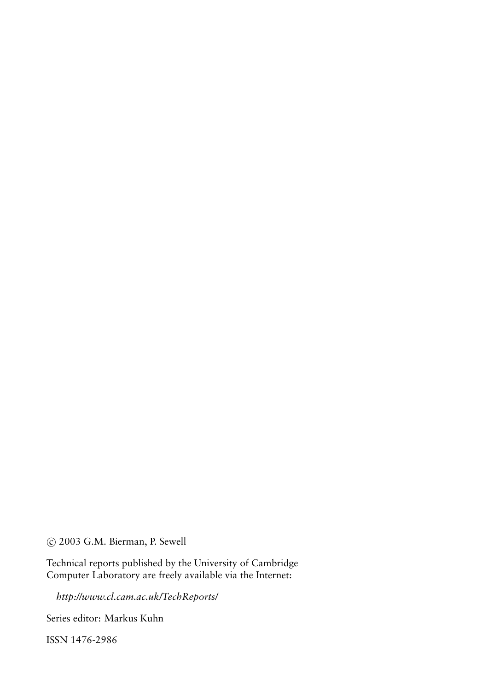c 2003 G.M. Bierman, P. Sewell

Technical reports published by the University of Cambridge Computer Laboratory are freely available via the Internet:

*http://www.cl.cam.ac.uk/TechReports/*

Series editor: Markus Kuhn

ISSN 1476-2986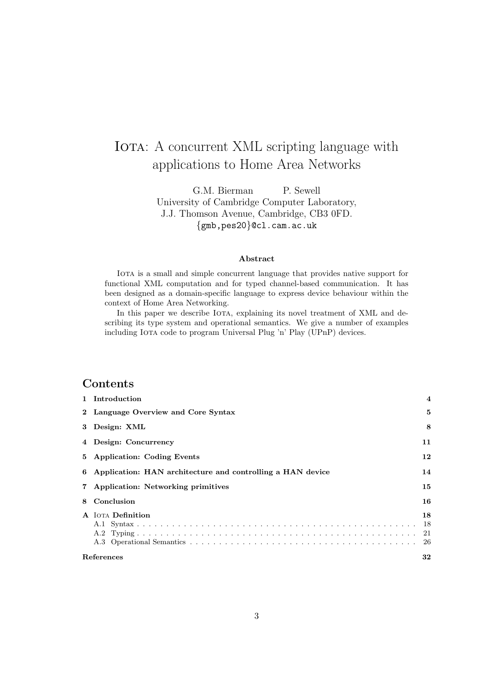# IOTA: A concurrent XML scripting language with applications to Home Area Networks

G.M. Bierman P. Sewell University of Cambridge Computer Laboratory, J.J. Thomson Avenue, Cambridge, CB3 0FD. {gmb,pes20}@cl.cam.ac.uk

#### Abstract

IOTA is a small and simple concurrent language that provides native support for functional XML computation and for typed channel-based communication. It has been designed as a domain-specific language to express device behaviour within the context of Home Area Networking.

In this paper we describe IOTA, explaining its novel treatment of XML and describing its type system and operational semantics. We give a number of examples including Iota code to program Universal Plug 'n' Play (UPnP) devices.

# Contents

|   | 1 Introduction                                               | $\overline{\mathbf{4}}$ |
|---|--------------------------------------------------------------|-------------------------|
|   | 2 Language Overview and Core Syntax                          | 5                       |
|   | 3 Design: XML                                                | 8                       |
|   | 4 Design: Concurrency                                        | 11                      |
|   | 5 Application: Coding Events                                 | 12                      |
|   | 6 Application: HAN architecture and controlling a HAN device | 14                      |
|   | 7 Application: Networking primitives                         | 15                      |
| 8 | Conclusion                                                   | 16                      |
|   | <b>A</b> IOTA Definition                                     | 18                      |
|   | References                                                   | 32                      |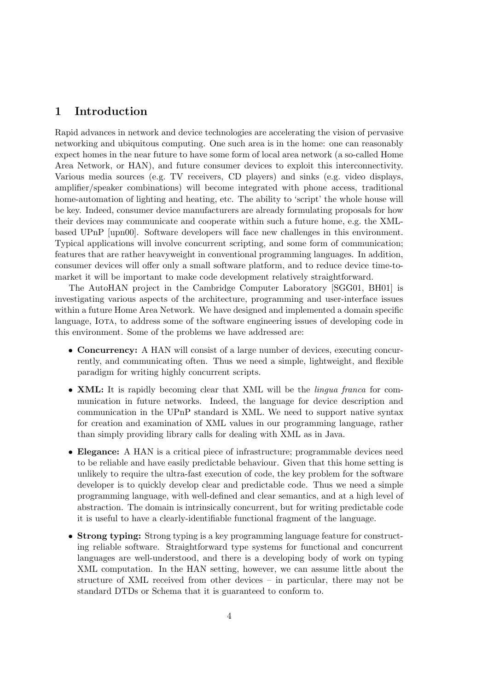### 1 Introduction

Rapid advances in network and device technologies are accelerating the vision of pervasive networking and ubiquitous computing. One such area is in the home: one can reasonably expect homes in the near future to have some form of local area network (a so-called Home Area Network, or HAN), and future consumer devices to exploit this interconnectivity. Various media sources (e.g. TV receivers, CD players) and sinks (e.g. video displays, amplifier/speaker combinations) will become integrated with phone access, traditional home-automation of lighting and heating, etc. The ability to 'script' the whole house will be key. Indeed, consumer device manufacturers are already formulating proposals for how their devices may communicate and cooperate within such a future home, e.g. the XMLbased UPnP [upn00]. Software developers will face new challenges in this environment. Typical applications will involve concurrent scripting, and some form of communication; features that are rather heavyweight in conventional programming languages. In addition, consumer devices will offer only a small software platform, and to reduce device time-tomarket it will be important to make code development relatively straightforward.

The AutoHAN project in the Cambridge Computer Laboratory [SGG01, BH01] is investigating various aspects of the architecture, programming and user-interface issues within a future Home Area Network. We have designed and implemented a domain specific language, IOTA, to address some of the software engineering issues of developing code in this environment. Some of the problems we have addressed are:

- Concurrency: A HAN will consist of a large number of devices, executing concurrently, and communicating often. Thus we need a simple, lightweight, and flexible paradigm for writing highly concurrent scripts.
- XML: It is rapidly becoming clear that XML will be the *lingua franca* for communication in future networks. Indeed, the language for device description and communication in the UPnP standard is XML. We need to support native syntax for creation and examination of XML values in our programming language, rather than simply providing library calls for dealing with XML as in Java.
- Elegance: A HAN is a critical piece of infrastructure; programmable devices need to be reliable and have easily predictable behaviour. Given that this home setting is unlikely to require the ultra-fast execution of code, the key problem for the software developer is to quickly develop clear and predictable code. Thus we need a simple programming language, with well-defined and clear semantics, and at a high level of abstraction. The domain is intrinsically concurrent, but for writing predictable code it is useful to have a clearly-identifiable functional fragment of the language.
- Strong typing: Strong typing is a key programming language feature for constructing reliable software. Straightforward type systems for functional and concurrent languages are well-understood, and there is a developing body of work on typing XML computation. In the HAN setting, however, we can assume little about the structure of XML received from other devices – in particular, there may not be standard DTDs or Schema that it is guaranteed to conform to.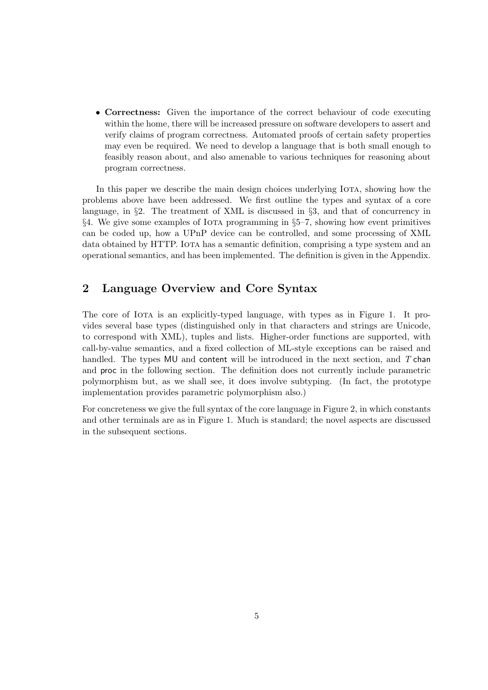• Correctness: Given the importance of the correct behaviour of code executing within the home, there will be increased pressure on software developers to assert and verify claims of program correctness. Automated proofs of certain safety properties may even be required. We need to develop a language that is both small enough to feasibly reason about, and also amenable to various techniques for reasoning about program correctness.

In this paper we describe the main design choices underlying IOTA, showing how the problems above have been addressed. We first outline the types and syntax of a core language, in §2. The treatment of XML is discussed in §3, and that of concurrency in §4. We give some examples of Iota programming in §5–7, showing how event primitives can be coded up, how a UPnP device can be controlled, and some processing of XML data obtained by HTTP. IOTA has a semantic definition, comprising a type system and an operational semantics, and has been implemented. The definition is given in the Appendix.

# 2 Language Overview and Core Syntax

The core of IOTA is an explicitly-typed language, with types as in Figure 1. It provides several base types (distinguished only in that characters and strings are Unicode, to correspond with XML), tuples and lists. Higher-order functions are supported, with call-by-value semantics, and a fixed collection of ML-style exceptions can be raised and handled. The types MU and content will be introduced in the next section, and T chan and proc in the following section. The definition does not currently include parametric polymorphism but, as we shall see, it does involve subtyping. (In fact, the prototype implementation provides parametric polymorphism also.)

For concreteness we give the full syntax of the core language in Figure 2, in which constants and other terminals are as in Figure 1. Much is standard; the novel aspects are discussed in the subsequent sections.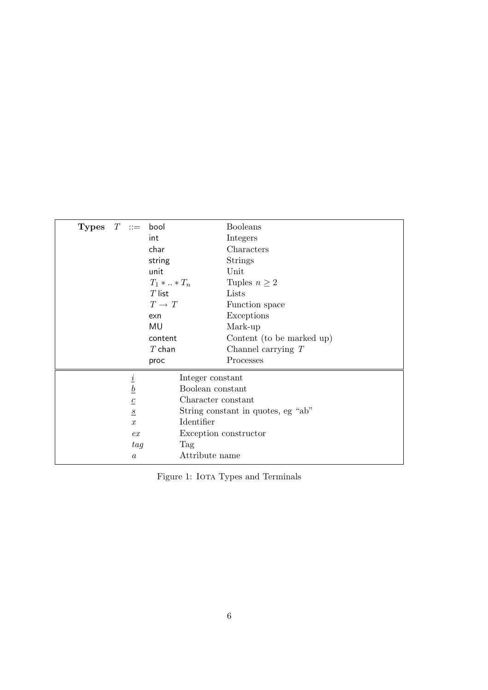| Types $T ::=$ bool |                  |                     | <b>Booleans</b>                    |  |
|--------------------|------------------|---------------------|------------------------------------|--|
|                    |                  | int                 | Integers                           |  |
|                    |                  | char                | Characters                         |  |
|                    |                  | string              | <b>Strings</b>                     |  |
|                    |                  | unit                | Unit                               |  |
|                    |                  | $T_1 *  * T_n$      | Tuples $n \geq 2$                  |  |
|                    |                  | $T$ list            | Lists                              |  |
|                    |                  | $T\,\rightarrow\,T$ | Function space                     |  |
|                    |                  | exn                 | Exceptions                         |  |
|                    |                  | MU                  | Mark-up                            |  |
|                    |                  | content             | Content (to be marked up)          |  |
|                    |                  | $T$ chan            | Channel carrying $T$               |  |
|                    |                  | proc                | Processes                          |  |
|                    |                  | Integer constant    |                                    |  |
|                    | $\frac{i}{b}$    | Boolean constant    |                                    |  |
|                    | $\boldsymbol{c}$ | Character constant  |                                    |  |
|                    | $\underline{S}$  |                     | String constant in quotes, eg "ab" |  |
|                    | $\boldsymbol{x}$ | Identifier          |                                    |  |
|                    | ex               |                     | Exception constructor              |  |
|                    | tag              | Tag                 |                                    |  |
|                    | $\boldsymbol{a}$ | Attribute name      |                                    |  |

 $\quad$  1: Iota Types and Terminals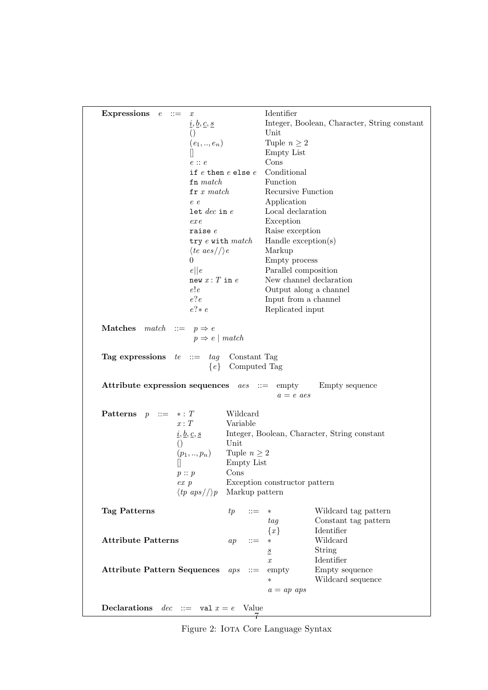| Expressions $e ::=$                                            | $\boldsymbol{x}$                                                                |                          | Identifier                    |                                              |
|----------------------------------------------------------------|---------------------------------------------------------------------------------|--------------------------|-------------------------------|----------------------------------------------|
|                                                                | $\underline{i}, \underline{b}, \underline{c}, \underline{s}$                    |                          |                               | Integer, Boolean, Character, String constant |
|                                                                | $\left(\right)$                                                                 |                          | Unit                          |                                              |
|                                                                | $(e_1, , e_n)$                                                                  |                          | Tuple $n \geq 2$              |                                              |
|                                                                |                                                                                 |                          | <b>Empty List</b>             |                                              |
|                                                                | $e$ : $e$                                                                       |                          | Cons                          |                                              |
|                                                                |                                                                                 | if $e$ then $e$ else $e$ | Conditional                   |                                              |
|                                                                | $\mathbf{fn} \; match$                                                          |                          | Function                      |                                              |
|                                                                | $\mathbf{fr}\; x\; match$                                                       |                          | Recursive Function            |                                              |
|                                                                | e e                                                                             |                          | Application                   |                                              |
|                                                                | $let$ $dec$ in $e$                                                              |                          | Local declaration             |                                              |
|                                                                | $ex$ e $x$                                                                      |                          | Exception                     |                                              |
|                                                                | raise $e$                                                                       |                          | Raise exception               |                                              |
|                                                                | try e with match                                                                |                          | Handle exception(s)           |                                              |
|                                                                | $\langle te\ aes/\rangle/e$                                                     |                          | Markup                        |                                              |
|                                                                | $\overline{0}$                                                                  |                          | Empty process                 |                                              |
|                                                                | e  e                                                                            |                          | Parallel composition          |                                              |
|                                                                | new $x: T$ in $e$                                                               |                          | New channel declaration       |                                              |
|                                                                | e!e                                                                             |                          | Output along a channel        |                                              |
|                                                                | e?e                                                                             |                          | Input from a channel          |                                              |
|                                                                | $e$ ?* $e$                                                                      |                          | Replicated input              |                                              |
| <b>Matches</b> match ::= $p \Rightarrow e$                     | $p \Rightarrow e \mid match$                                                    |                          |                               |                                              |
| <b>Tag expressions</b> $te ::= tag$ Constant Tag               |                                                                                 | $\{e\}$ Computed Tag     |                               |                                              |
| Attribute expression sequences $\text{aes} \ ::= \text{empty}$ |                                                                                 |                          | $a = e$ aes                   | Empty sequence                               |
| <b>Patterns</b> $p ::= * : T$                                  |                                                                                 | Wildcard                 |                               |                                              |
|                                                                | x: T                                                                            | Variable                 |                               |                                              |
|                                                                | $\underline{i}, \underline{b}, \underline{c}, \underline{s}$<br>$\left(\right)$ | Unit                     |                               | Integer, Boolean, Character, String constant |
|                                                                | $(p_1,,p_n)$                                                                    | Tuple $n \geq 2$         |                               |                                              |
|                                                                |                                                                                 | <b>Empty List</b>        |                               |                                              |
|                                                                | p::p                                                                            | Cons                     |                               |                                              |
|                                                                | $ex\,p$                                                                         |                          | Exception constructor pattern |                                              |
|                                                                | $\langle tp \; aps / \rangle p$                                                 | Markup pattern           |                               |                                              |
|                                                                |                                                                                 |                          |                               |                                              |
| Tag Patterns                                                   |                                                                                 | tp<br>$::=$              | $\ast$                        | Wildcard tag pattern                         |
|                                                                |                                                                                 |                          | tag                           | Constant tag pattern                         |
|                                                                |                                                                                 |                          | ${x}$                         | Identifier                                   |
| <b>Attribute Patterns</b>                                      |                                                                                 | $::=$<br>ap              | $\ast$                        | Wildcard                                     |
|                                                                |                                                                                 |                          | $\underline{s}$               | String<br>Identifier                         |
|                                                                |                                                                                 |                          | $\boldsymbol{x}$              |                                              |
| <b>Attribute Pattern Sequences</b>                             |                                                                                 | aps<br>$::=$             | empty<br>$\ast$               | Empty sequence<br>Wildcard sequence          |
|                                                                |                                                                                 |                          |                               |                                              |
|                                                                |                                                                                 |                          | $a = ap \;aps$                |                                              |
| <b>Declarations</b> $dec ::= \text{val } x = e$ Value          |                                                                                 |                          |                               |                                              |

Figure 2: IOTA Core Language Syntax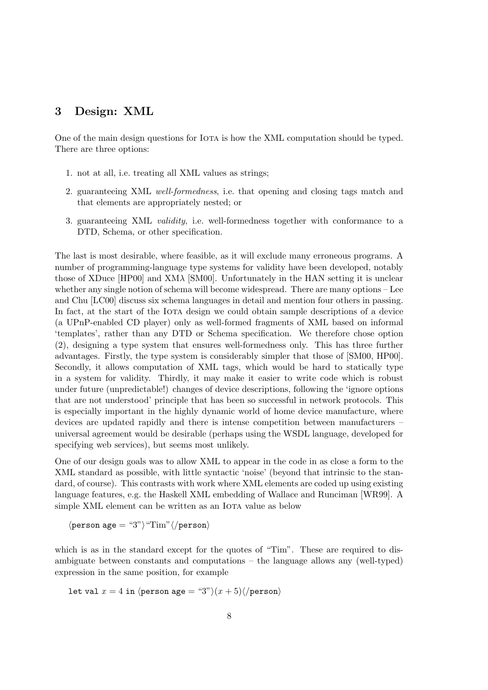### 3 Design: XML

One of the main design questions for Iota is how the XML computation should be typed. There are three options:

- 1. not at all, i.e. treating all XML values as strings;
- 2. guaranteeing XML well-formedness, i.e. that opening and closing tags match and that elements are appropriately nested; or
- 3. guaranteeing XML validity, i.e. well-formedness together with conformance to a DTD, Schema, or other specification.

The last is most desirable, where feasible, as it will exclude many erroneous programs. A number of programming-language type systems for validity have been developed, notably those of XDuce [HP00] and XMλ [SM00]. Unfortunately in the HAN setting it is unclear whether any single notion of schema will become widespread. There are many options – Lee and Chu [LC00] discuss six schema languages in detail and mention four others in passing. In fact, at the start of the IOTA design we could obtain sample descriptions of a device (a UPnP-enabled CD player) only as well-formed fragments of XML based on informal 'templates', rather than any DTD or Schema specification. We therefore chose option (2), designing a type system that ensures well-formedness only. This has three further advantages. Firstly, the type system is considerably simpler that those of [SM00, HP00]. Secondly, it allows computation of XML tags, which would be hard to statically type in a system for validity. Thirdly, it may make it easier to write code which is robust under future (unpredictable!) changes of device descriptions, following the 'ignore options that are not understood' principle that has been so successful in network protocols. This is especially important in the highly dynamic world of home device manufacture, where devices are updated rapidly and there is intense competition between manufacturers – universal agreement would be desirable (perhaps using the WSDL language, developed for specifying web services), but seems most unlikely.

One of our design goals was to allow XML to appear in the code in as close a form to the XML standard as possible, with little syntactic 'noise' (beyond that intrinsic to the standard, of course). This contrasts with work where XML elements are coded up using existing language features, e.g. the Haskell XML embedding of Wallace and Runciman [WR99]. A simple XML element can be written as an IOTA value as below

 $\langle \text{person age} = "3" \rangle "Tim" \langle \text{/person} \rangle$ 

which is as in the standard except for the quotes of "Tim". These are required to disambiguate between constants and computations – the language allows any (well-typed) expression in the same position, for example

let val  $x = 4$  in  $\langle \text{person age} = "3" \rangle (x + 5) \langle \text{/person} \rangle$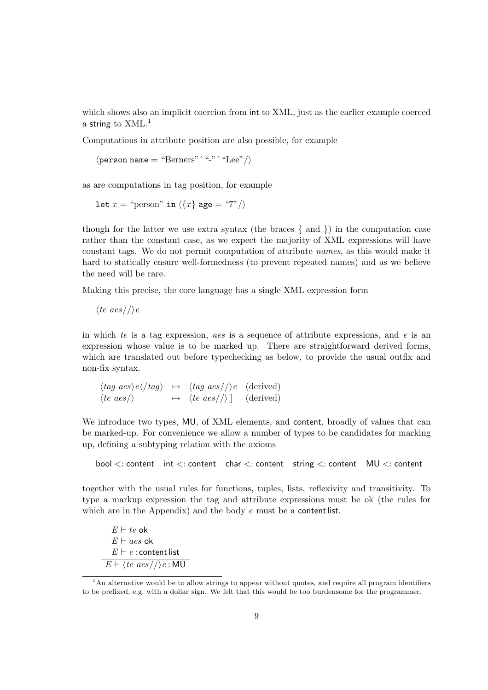which shows also an implicit coercion from int to XML, just as the earlier example coerced a string to  $XML<sup>1</sup>$ 

Computations in attribute position are also possible, for example

 $\langle \text{person name} = \text{``Berners''} \land \text{``-"} \land \text{``Lee''} \rangle$ 

as are computations in tag position, for example

let  $x =$  "person" in  $\langle \{x\}$  age = "7"/)

though for the latter we use extra syntax (the braces  $\{$  and  $\}$ ) in the computation case rather than the constant case, as we expect the majority of XML expressions will have constant tags. We do not permit computation of attribute names, as this would make it hard to statically ensure well-formedness (to prevent repeated names) and as we believe the need will be rare.

Making this precise, the core language has a single XML expression form

 $\langle te \ aes/\rangle\$ e

in which te is a tag expression, aes is a sequence of attribute expressions, and e is an expression whose value is to be marked up. There are straightforward derived forms, which are translated out before typechecking as below, to provide the usual outfix and non-fix syntax.

 $\langle tag \text{ } aes \rangle e \langle /tag \rangle \rightarrow \langle tag \text{ } aes//\rangle e \text{ } (\text{derived})$  $\langle te\ aes/\rangle \longrightarrow \langle te\ aes/\rangle$ [] (derived)

We introduce two types, MU, of XML elements, and content, broadly of values that can be marked-up. For convenience we allow a number of types to be candidates for marking up, defining a subtyping relation with the axioms

bool <: content int <: content char <: content string <: content MU <: content

together with the usual rules for functions, tuples, lists, reflexivity and transitivity. To type a markup expression the tag and attribute expressions must be ok (the rules for which are in the Appendix) and the body  $e$  must be a content list.

 $E \vdash te$  ok  $E \vdash aes$  ok  $E \vdash e$ : content list  $E \vdash \langle te \; aes / \langle \rangle e : \mathsf{M} \mathsf{U} \rangle$ 

<sup>&</sup>lt;sup>1</sup>An alternative would be to allow strings to appear without quotes, and require all program identifiers to be prefixed, e.g. with a dollar sign. We felt that this would be too burdensome for the programmer.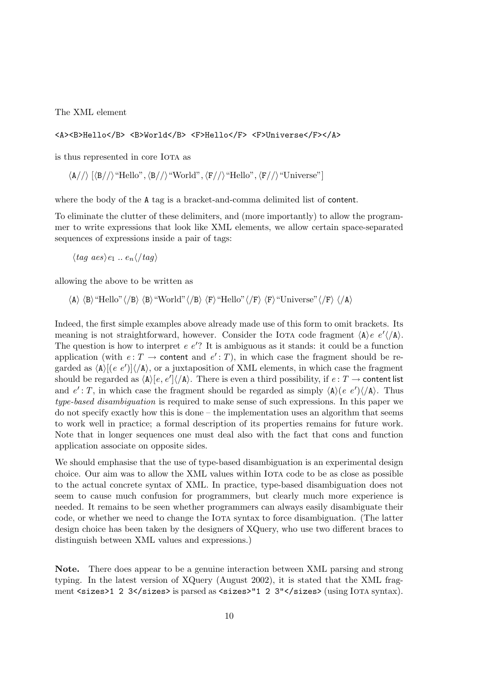The XML element

#### <A><B>Hello</B> <B>World</B> <F>Hello</F> <F>Universe</F></A>

is thus represented in core IOTA as

 $\langle A//\rangle$  [ $\langle B//\rangle$  "Hello",  $\langle B//\rangle$  "World",  $\langle F//\rangle$  "Hello",  $\langle F//\rangle$  "Universe"]

where the body of the A tag is a bracket-and-comma delimited list of content.

To eliminate the clutter of these delimiters, and (more importantly) to allow the programmer to write expressions that look like XML elements, we allow certain space-separated sequences of expressions inside a pair of tags:

 $\langle taq \ aes \rangle_{e_1} \dots e_n \langle \cdot \rangle_{taq}$ 

allowing the above to be written as

 $\langle A \rangle \langle B \rangle$ "Hello" $\langle B \rangle \langle B \rangle$ "World" $\langle B \rangle \langle F \rangle$ "Hello" $\langle F \rangle \langle F \rangle \langle F \rangle$ "Universe" $\langle F \rangle \langle A \rangle$ 

Indeed, the first simple examples above already made use of this form to omit brackets. Its meaning is not straightforward, however. Consider the IOTA code fragment  $\langle A \rangle e e^{\prime} \langle A \rangle$ . The question is how to interpret  $e e'$ ? It is ambiguous as it stands: it could be a function application (with  $e: T \to \text{content}$  and  $e': T$ ), in which case the fragment should be regarded as  $\langle A \rangle$ [(e e')] $\langle A \rangle$ , or a juxtaposition of XML elements, in which case the fragment should be regarded as  $\langle A \rangle [e, e'] \langle A \rangle$ . There is even a third possibility, if  $e: T \to \text{content list}$ and  $e': T$ , in which case the fragment should be regarded as simply  $\langle A \rangle (e e') \langle A \rangle$ . Thus type-based disambiguation is required to make sense of such expressions. In this paper we do not specify exactly how this is done – the implementation uses an algorithm that seems to work well in practice; a formal description of its properties remains for future work. Note that in longer sequences one must deal also with the fact that cons and function application associate on opposite sides.

We should emphasise that the use of type-based disambiguation is an experimental design choice. Our aim was to allow the XML values within IOTA code to be as close as possible to the actual concrete syntax of XML. In practice, type-based disambiguation does not seem to cause much confusion for programmers, but clearly much more experience is needed. It remains to be seen whether programmers can always easily disambiguate their code, or whether we need to change the Iota syntax to force disambiguation. (The latter design choice has been taken by the designers of XQuery, who use two different braces to distinguish between XML values and expressions.)

Note. There does appear to be a genuine interaction between XML parsing and strong typing. In the latest version of XQuery (August 2002), it is stated that the XML fragment <sizes>1 2 3</sizes> is parsed as <sizes>"1 2 3"</sizes> (using IoTA syntax).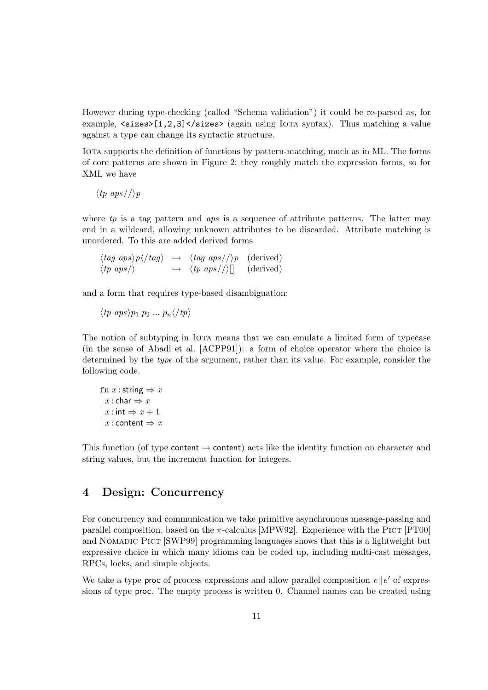However during type-checking (called "Schema validation") it could be re-parsed as, for example,  $\langle$ sizes>[1,2,3] $\langle$ sizes> (again using IoTA syntax). Thus matching a value against a type can change its syntactic structure.

IOTA supports the definition of functions by pattern-matching, much as in ML. The forms of core patterns are shown in Figure 2; they roughly match the expression forms, so for XML we have

 $\langle tp \; aps//\rangle p$ 

where  $tp$  is a tag pattern and  $aps$  is a sequence of attribute patterns. The latter may end in a wildcard, allowing unknown attributes to be discarded. Attribute matching is unordered. To this are added derived forms

| $\langle tag \; aps \rangle p \langle /tag \rangle \rightarrow \langle tag \; aps / \rangle p \; (derived)$ |                                       |           |
|-------------------------------------------------------------------------------------------------------------|---------------------------------------|-----------|
| $\langle tp \; aps \rangle$                                                                                 | $\mapsto \langle tp \; aps / \rangle$ | (derived) |

and a form that requires type-based disambiguation:

 $\langle tp \nvert nps \rangle p_1 \nvert p_2 \nvert \ldots \nvert p_n \langle \ell np \rangle$ 

The notion of subtyping in Iota means that we can emulate a limited form of typecase (in the sense of Abadi et al. [ACPP91]): a form of choice operator where the choice is determined by the type of the argument, rather than its value. For example, consider the following code.

fn  $x$  : string  $\Rightarrow$  x |  $x :$ char  $\Rightarrow x$ |  $x : \text{int} \Rightarrow x + 1$ |  $x$  : content  $\Rightarrow x$ 

This function (of type content  $\rightarrow$  content) acts like the identity function on character and string values, but the increment function for integers.

### 4 Design: Concurrency

For concurrency and communication we take primitive asynchronous message-passing and parallel composition, based on the  $\pi$ -calculus [MPW92]. Experience with the PICT [PT00] and Nomadic Pict [SWP99] programming languages shows that this is a lightweight but expressive choice in which many idioms can be coded up, including multi-cast messages, RPCs, locks, and simple objects.

We take a type **proc** of process expressions and allow parallel composition  $e||e'$  of expressions of type proc. The empty process is written 0. Channel names can be created using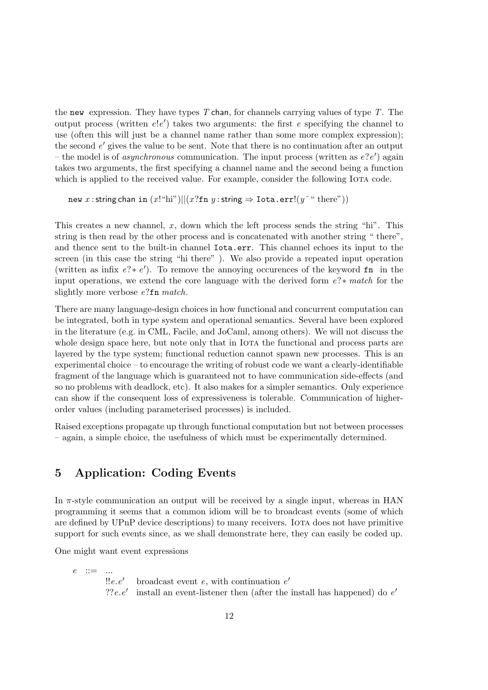the new expression. They have types  $T$  chan, for channels carrying values of type  $T$ . The output process (written  $e!e'$ ) takes two arguments: the first e specifying the channel to use (often this will just be a channel name rather than some more complex expression); the second  $e'$  gives the value to be sent. Note that there is no continuation after an output – the model is of *asynchronous* communication. The input process (written as  $e?e'$ ) again takes two arguments, the first specifying a channel name and the second being a function which is applied to the received value. For example, consider the following IOTA code.

```
new x : string chan in (x!"hi")||(x? fn y : string \Rightarrow Iota.err!(y \text{``there''}))
```
This creates a new channel,  $x$ , down which the left process sends the string "hi". This string is then read by the other process and is concatenated with another string " there", and thence sent to the built-in channel Iota.err. This channel echoes its input to the screen (in this case the string "hi there" ). We also provide a repeated input operation (written as infix  $e$ ?\*  $e'$ ). To remove the annoying occurences of the keyword fn in the input operations, we extend the core language with the derived form e?∗ match for the slightly more verbose e?fn match.

There are many language-design choices in how functional and concurrent computation can be integrated, both in type system and operational semantics. Several have been explored in the literature (e.g. in CML, Facile, and JoCaml, among others). We will not discuss the whole design space here, but note only that in IoTA the functional and process parts are layered by the type system; functional reduction cannot spawn new processes. This is an experimental choice – to encourage the writing of robust code we want a clearly-identifiable fragment of the language which is guaranteed not to have communication side-effects (and so no problems with deadlock, etc). It also makes for a simpler semantics. Only experience can show if the consequent loss of expressiveness is tolerable. Communication of higherorder values (including parameterised processes) is included.

Raised exceptions propagate up through functional computation but not between processes – again, a simple choice, the usefulness of which must be experimentally determined.

# 5 Application: Coding Events

In  $\pi$ -style communication an output will be received by a single input, whereas in HAN programming it seems that a common idiom will be to broadcast events (some of which are defined by UPnP device descriptions) to many receivers. IOTA does not have primitive support for such events since, as we shall demonstrate here, they can easily be coded up.

One might want event expressions

 $e$  ::= ...  $!!e.e'$ broadcast event  $e$ , with continuation  $e'$ ?? $e.e'$ install an event-listener then (after the install has happened) do  $e'$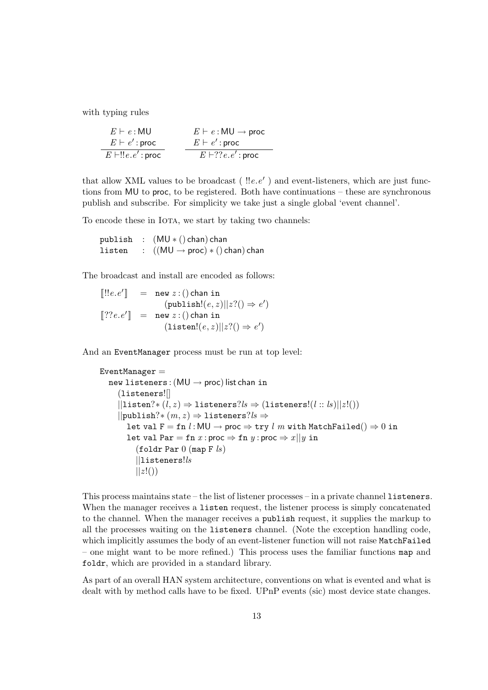with typing rules

| $E \vdash e : MU$         | $E \vdash e : MU \rightarrow proc$ |
|---------------------------|------------------------------------|
| $E \vdash e' : proc$      | $E \vdash e' : proc$               |
| $E \vdash !! e.e' : proc$ | $E \vdash ??e.e' : proc$           |

that allow XML values to be broadcast  $($  !!e.e') and event-listeners, which are just functions from MU to proc, to be registered. Both have continuations – these are synchronous publish and subscribe. For simplicity we take just a single global 'event channel'.

To encode these in IOTA, we start by taking two channels:

publish :  $(MU * () chan) chan$ <br>listen :  $((MU \rightarrow proc) * () c)$ : ((MU → proc)  $*$  () chan) chan

The broadcast and install are encoded as follows:

 $\llbracket ! ! e . e' \rrbracket$  = new  $z : ()$  chan in  $(\text{publish}!(e, z)||z?() \Rightarrow e')$  $[\![??e.e']\!] = \texttt{new } z:()$  chan in  $(\mathtt{listen}!(e, z)||z?() \Rightarrow e')$ 

And an EventManager process must be run at top level:

```
EventManager =new listeners: (MU \rightarrow proc) list chan in
      (listeners![]
      ||listen?*(l, z) \Rightarrow listeners?ls \Rightarrow (listeners!(l :: ls)||z!())
     ||publish?* (m, z) \Rightarrow listeners?ls \Rightarrowlet val F = fn \; l : MU \rightarrow proc \Rightarrow try \; l \; m with MatchFailed() \Rightarrow 0 in
         let val Par = fn x : proc \Rightarrow fn y : proc \Rightarrow x||y in
            (folder Par 0 (map F <i>ls</i>)||listeners!ls||z!(\)
```
This process maintains state – the list of listener processes – in a private channel listeners. When the manager receives a listen request, the listener process is simply concatenated to the channel. When the manager receives a publish request, it supplies the markup to all the processes waiting on the listeners channel. (Note the exception handling code, which implicitly assumes the body of an event-listener function will not raise MatchFailed – one might want to be more refined.) This process uses the familiar functions map and foldr, which are provided in a standard library.

As part of an overall HAN system architecture, conventions on what is evented and what is dealt with by method calls have to be fixed. UPnP events (sic) most device state changes.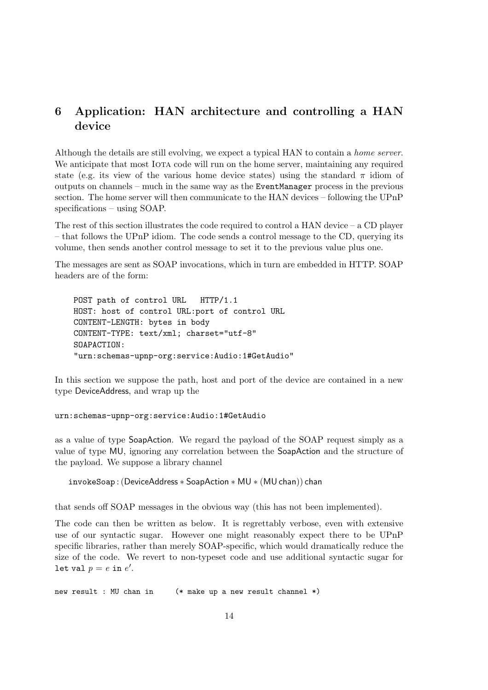# 6 Application: HAN architecture and controlling a HAN device

Although the details are still evolving, we expect a typical HAN to contain a home server. We anticipate that most IOTA code will run on the home server, maintaining any required state (e.g. its view of the various home device states) using the standard  $\pi$  idiom of outputs on channels – much in the same way as the EventManager process in the previous section. The home server will then communicate to the HAN devices – following the UPnP specifications – using SOAP.

The rest of this section illustrates the code required to control a HAN device  $-$  a CD player – that follows the UPnP idiom. The code sends a control message to the CD, querying its volume, then sends another control message to set it to the previous value plus one.

The messages are sent as SOAP invocations, which in turn are embedded in HTTP. SOAP headers are of the form:

POST path of control URL HTTP/1.1 HOST: host of control URL:port of control URL CONTENT-LENGTH: bytes in body CONTENT-TYPE: text/xml; charset="utf-8" SOAPACTION: "urn:schemas-upnp-org:service:Audio:1#GetAudio"

In this section we suppose the path, host and port of the device are contained in a new type DeviceAddress, and wrap up the

#### urn:schemas-upnp-org:service:Audio:1#GetAudio

as a value of type SoapAction. We regard the payload of the SOAP request simply as a value of type MU, ignoring any correlation between the SoapAction and the structure of the payload. We suppose a library channel

invokeSoap :(DeviceAddress ∗ SoapAction ∗ MU ∗ (MUchan)) chan

that sends off SOAP messages in the obvious way (this has not been implemented).

The code can then be written as below. It is regrettably verbose, even with extensive use of our syntactic sugar. However one might reasonably expect there to be UPnP specific libraries, rather than merely SOAP-specific, which would dramatically reduce the size of the code. We revert to non-typeset code and use additional syntactic sugar for let val  $p=e$  in  $e^{\prime}.$ 

new result : MU chan in (\* make up a new result channel \*)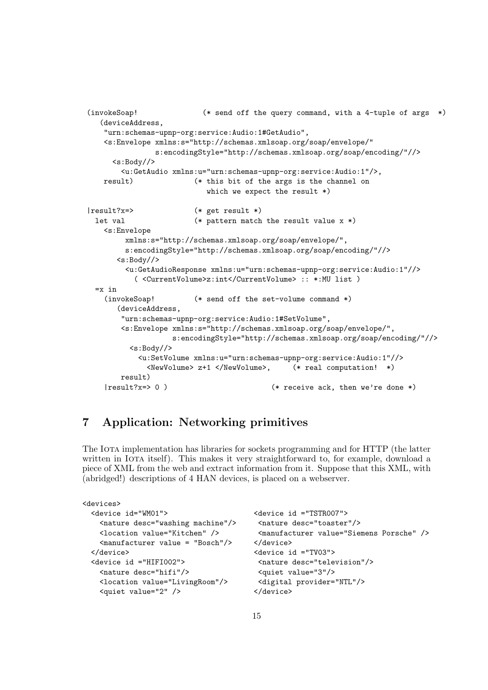```
(invokeSoap! (* send off the query command, with a 4-tuple of args *)
   (deviceAddress,
   "urn:schemas-upnp-org:service:Audio:1#GetAudio",
   <s:Envelope xmlns:s="http://schemas.xmlsoap.org/soap/envelope/"
               s:encodingStyle="http://schemas.xmlsoap.org/soap/encoding/"//>
     \langle s:Body//\rangle<u:GetAudio xmlns:u="urn:schemas-upnp-org:service:Audio:1"/>,
   result) (* this bit of the args is the channel on
                          which we expect the result *)
|result?x=> (* get result *)
 let val (* pattern match the result value x *)
   <s:Envelope
        xmlns:s="http://schemas.xmlsoap.org/soap/envelope/",
        s:encodingStyle="http://schemas.xmlsoap.org/soap/encoding/"//>
      <s:Body//>
        <u:GetAudioResponse xmlns:u="urn:schemas-upnp-org:service:Audio:1"//>
          ( <CurrentVolume>z:int</CurrentVolume> :: *:MU list )
 =x in
   (invokeSoap! (* send off the set-volume command *)
      (deviceAddress,
       "urn:schemas-upnp-org:service:Audio:1#SetVolume",
       <s:Envelope xmlns:s="http://schemas.xmlsoap.org/soap/envelope/",
                   s:encodingStyle="http://schemas.xmlsoap.org/soap/encoding/"//>
         <s:Body//>
           <u:SetVolume xmlns:u="urn:schemas-upnp-org:service:Audio:1"//>
             <NewVolume> z+1 </NewVolume>, (* real computation! *)
       result)
   |result?x=> 0 ) (* receive ack, then we're done *)
```
# 7 Application: Networking primitives

The Iota implementation has libraries for sockets programming and for HTTP (the latter written in Iota itself). This makes it very straightforward to, for example, download a piece of XML from the web and extract information from it. Suppose that this XML, with (abridged!) descriptions of 4 HAN devices, is placed on a webserver.

```
<devices>
 <device id="WM01"> <device id ="TSTR007">
   <nature desc="washing machine"/> <nature desc="toaster"/>
   <location value="Kitchen" /> <manufacturer value="Siemens Porsche" />
   <manufacturer value = "Bosch"/> </device>
 </device> <device id ="TV03">
 <device id ="HIFI002"> <nature desc="television"/>
   <nature desc="hifi"/> <quiet value="3"/>
   <location value="LivingRoom"/> <digital provider="NTL"/>
   <quiet value="2" /> </device>
```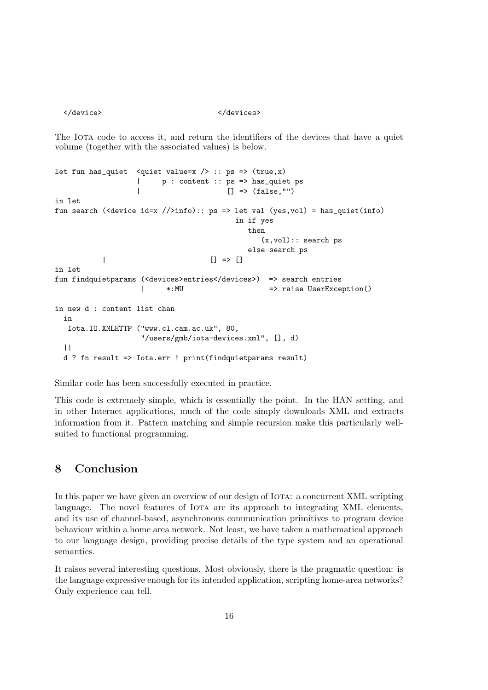</device>
</device>
</device>
</devices>
</devices>
</devices>
</devices>
</devices>
</devices>
</devices>
</devices>
</devices>
</devices>
</devices>
</devices>
</devices>
</devices>
</devices>
</devices

The IOTA code to access it, and return the identifiers of the devices that have a quiet volume (together with the associated values) is below.

```
let fun has_quiet <quiet value=x / :: ps => (true,x)
                 | p : content :: ps => has_quiet ps
                                     [] => (false, "")in let
fun search (<device id=x //>info):: ps => let val (yes,vol) = has_quiet(info)
                                       in if yes
                                         then
                                            (x,vol):: search ps
                                         else search ps
          | | => |in let
fun findquietparams (<devices>entries</devices>) => search entries
                  | *:MU => raise UserException()
in new d : content list chan
 in
  Iota.IO.XMLHTTP ("www.cl.cam.ac.uk", 80,
                  "/users/gmb/iota-devices.xml", [], d)
 ||
 d ? fn result => Iota.err ! print(findquietparams result)
```
Similar code has been successfully executed in practice.

This code is extremely simple, which is essentially the point. In the HAN setting, and in other Internet applications, much of the code simply downloads XML and extracts information from it. Pattern matching and simple recursion make this particularly wellsuited to functional programming.

# 8 Conclusion

In this paper we have given an overview of our design of IOTA: a concurrent XML scripting language. The novel features of IOTA are its approach to integrating XML elements, and its use of channel-based, asynchronous communication primitives to program device behaviour within a home area network. Not least, we have taken a mathematical approach to our language design, providing precise details of the type system and an operational semantics.

It raises several interesting questions. Most obviously, there is the pragmatic question: is the language expressive enough for its intended application, scripting home-area networks? Only experience can tell.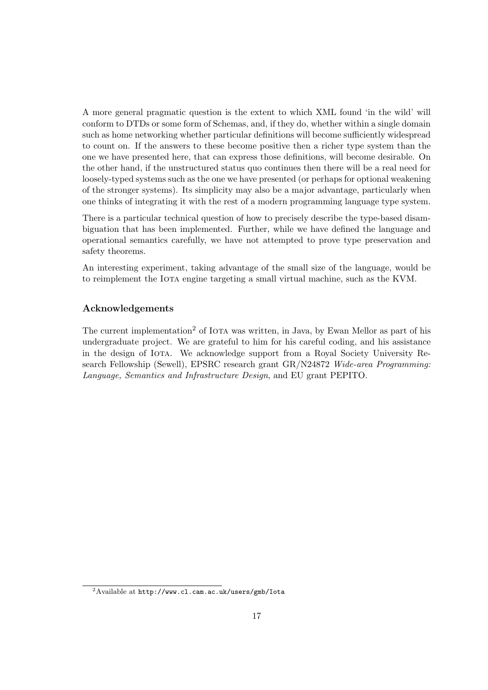A more general pragmatic question is the extent to which XML found 'in the wild' will conform to DTDs or some form of Schemas, and, if they do, whether within a single domain such as home networking whether particular definitions will become sufficiently widespread to count on. If the answers to these become positive then a richer type system than the one we have presented here, that can express those definitions, will become desirable. On the other hand, if the unstructured status quo continues then there will be a real need for loosely-typed systems such as the one we have presented (or perhaps for optional weakening of the stronger systems). Its simplicity may also be a major advantage, particularly when one thinks of integrating it with the rest of a modern programming language type system.

There is a particular technical question of how to precisely describe the type-based disambiguation that has been implemented. Further, while we have defined the language and operational semantics carefully, we have not attempted to prove type preservation and safety theorems.

An interesting experiment, taking advantage of the small size of the language, would be to reimplement the IOTA engine targeting a small virtual machine, such as the KVM.

#### Acknowledgements

The current implementation<sup>2</sup> of IOTA was written, in Java, by Ewan Mellor as part of his undergraduate project. We are grateful to him for his careful coding, and his assistance in the design of Iota. We acknowledge support from a Royal Society University Research Fellowship (Sewell), EPSRC research grant GR/N24872 Wide-area Programming: Language, Semantics and Infrastructure Design, and EU grant PEPITO.

<sup>2</sup>Available at http://www.cl.cam.ac.uk/users/gmb/Iota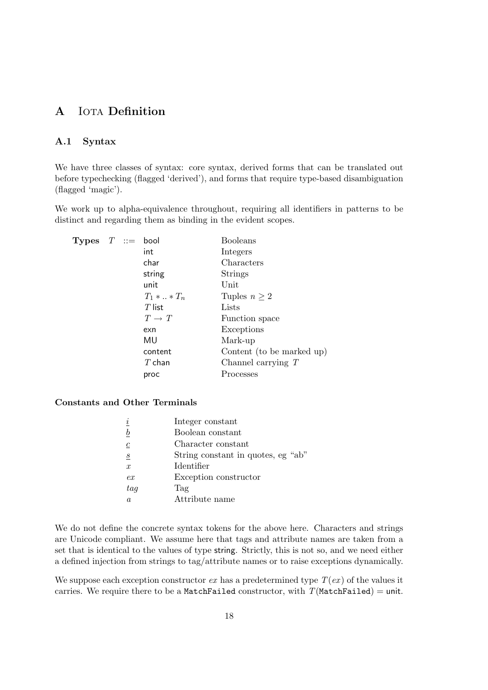# A IOTA Definition

#### A.1 Syntax

We have three classes of syntax: core syntax, derived forms that can be translated out before typechecking (flagged 'derived'), and forms that require type-based disambiguation (flagged 'magic').

We work up to alpha-equivalence throughout, requiring all identifiers in patterns to be distinct and regarding them as binding in the evident scopes.

| <b>Types</b> $T ::=$ |  | bool           | <b>Booleans</b>           |
|----------------------|--|----------------|---------------------------|
|                      |  | int            | Integers                  |
|                      |  | char           | Characters                |
|                      |  | string         | <b>Strings</b>            |
|                      |  | unit           | $\text{Unit}$             |
|                      |  | $T_1 *  * T_n$ | Tuples $n \geq 2$         |
|                      |  | $T$ list       | Lists                     |
|                      |  | $T \to T$      | Function space            |
|                      |  | exn            | Exceptions                |
|                      |  | MU             | Mark-up                   |
|                      |  | content        | Content (to be marked up) |
|                      |  | $T$ chan       | Channel carrying $T$      |
|                      |  | proc           | Processes                 |

Constants and Other Terminals

| $\dot{i}$        | Integer constant                   |
|------------------|------------------------------------|
| $\boldsymbol{b}$ | Boolean constant                   |
| $\boldsymbol{c}$ | Character constant                 |
| $\boldsymbol{s}$ | String constant in quotes, eg "ab" |
| $\mathfrak{X}$   | Identifier                         |
| ex               | Exception constructor              |
| tag              | Tag                                |
| a                | Attribute name                     |
|                  |                                    |

We do not define the concrete syntax tokens for the above here. Characters and strings are Unicode compliant. We assume here that tags and attribute names are taken from a set that is identical to the values of type string. Strictly, this is not so, and we need either a defined injection from strings to tag/attribute names or to raise exceptions dynamically.

We suppose each exception constructor  $ex$  has a predetermined type  $T(ex)$  of the values it carries. We require there to be a MatchFailed constructor, with  $T(MatchFailed) = unit$ .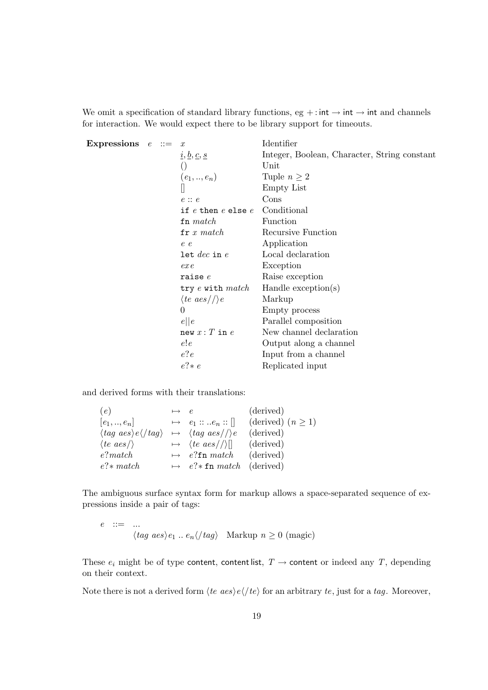We omit a specification of standard library functions, eg + : int  $\rightarrow$  int  $\rightarrow$  int and channels for interaction. We would expect there to be library support for timeouts.

| Expressions $e ::=$ |  | $\boldsymbol{x}$                                             | Identifier                                   |
|---------------------|--|--------------------------------------------------------------|----------------------------------------------|
|                     |  | $\underline{i}, \underline{b}, \underline{c}, \underline{s}$ | Integer, Boolean, Character, String constant |
|                     |  | $\left( \right)$                                             | Unit                                         |
|                     |  | $(e_1, , e_n)$                                               | Tuple $n \geq 2$                             |
|                     |  |                                                              | Empty List                                   |
|                     |  | $e$ : $e$                                                    | Cons                                         |
|                     |  | if $e$ then $e$ else $e$                                     | Conditional                                  |
|                     |  | $\mathbf{fn} \; match$                                       | Function                                     |
|                     |  | $\mathbf{fr}\; x\; match$                                    | Recursive Function                           |
|                     |  | e e                                                          | Application                                  |
|                     |  | $\texttt{let}~dec$ in $e$                                    | Local declaration                            |
|                     |  | ex <sub>e</sub>                                              | Exception                                    |
|                     |  | raise $e$                                                    | Raise exception                              |
|                     |  | try $e$ with $match$                                         | Handle $exception(s)$                        |
|                     |  | $\langle te\ aes/\rangle/e$                                  | Markup                                       |
|                     |  | $\overline{0}$                                               | Empty process                                |
|                     |  | e  e                                                         | Parallel composition                         |
|                     |  | new x: T in e                                                | New channel declaration                      |
|                     |  | e!e                                                          | Output along a channel                       |
|                     |  | e?e                                                          | Input from a channel                         |
|                     |  | $e$ ?* $e$                                                   | Replicated input                             |

and derived forms with their translations:

| (e)                                                                                                        | $\mapsto$ e |                                        | (derived)              |
|------------------------------------------------------------------------------------------------------------|-------------|----------------------------------------|------------------------|
| $[e_1,,e_n]$                                                                                               |             | $\mapsto e_1 ::  e_n ::   $            | (derived) $(n \geq 1)$ |
| $\langle tag \text{ } aes \rangle e \langle /tag \rangle \rightarrow \langle tag \text{ } aes / \rangle e$ |             |                                        | (derived)              |
| $\langle te\ aes/\rangle$                                                                                  |             | $\mapsto$ $\langle te \ aes / \rangle$ | (derived)              |
| e?match                                                                                                    |             | $\mapsto$ e?fn match                   | (derived)              |
| $e$ ?* $match$                                                                                             |             | $\mapsto$ e?* fn match (derived)       |                        |
|                                                                                                            |             |                                        |                        |

The ambiguous surface syntax form for markup allows a space-separated sequence of expressions inside a pair of tags:

$$
e ::= \dots
$$
  

$$
\langle tag \ a es \rangle e_1 \dots e_n \langle /tag \rangle \quad \text{Markup } n \ge 0 \ ( \text{magic} )
$$

These  $e_i$  might be of type content, contentlist,  $T \rightarrow$  content or indeed any T, depending on their context.

Note there is not a derived form  $\langle te\ aes \rangle e \langle \prime te \rangle$  for an arbitrary  $te$ , just for a tag. Moreover,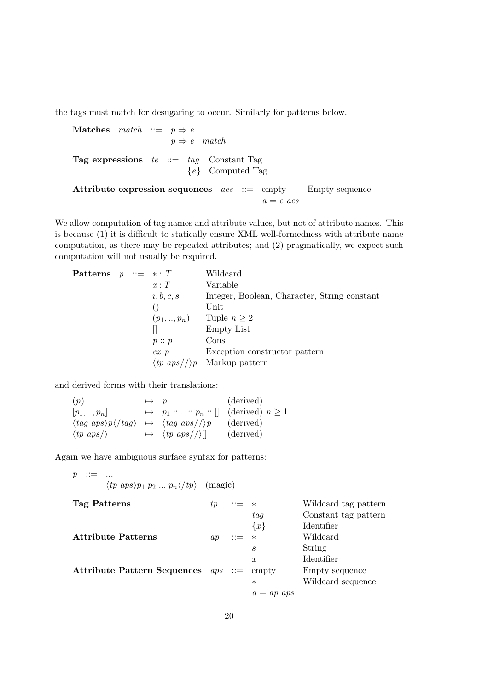the tags must match for desugaring to occur. Similarly for patterns below.

**Matches** match ::=  $p \Rightarrow e$  $p \Rightarrow e \mid match$ Tag expressions  $te ::= tag$  Constant Tag  ${e}$  Computed Tag Attribute expression sequences  $\text{aes} \ ::= \text{empty}$  Empty sequence  $a = e$  aes

We allow computation of tag names and attribute values, but not of attribute names. This is because (1) it is difficult to statically ensure XML well-formedness with attribute name computation, as there may be repeated attributes; and (2) pragmatically, we expect such computation will not usually be required.

**Patterns**  $p ::= * : T$  Wildcard<br> $x : T$  Variable Variable  $i, b, c, s$  Integer, Boolean, Character, String constant () Unit  $(p_1, ..., p_n)$  Tuple  $n \geq 2$ <br>  $\Box$  Empty List Empty List  $p :: p$  Cons ex p Exception constructor pattern  $\langle tp \nvert apps \rangle /p$  Markup pattern

and derived forms with their translations:

| (p)                                                                                            | $\mapsto$ p |                                                       | (derived) |
|------------------------------------------------------------------------------------------------|-------------|-------------------------------------------------------|-----------|
| $[p_1, , p_n]$                                                                                 |             | $\mapsto$ $p_1 ::  :: p_n :: []$ (derived) $n \geq 1$ |           |
| $\langle tag \; aps \rangle p \langle /tag \rangle \rightarrow \langle tag \; aps / \rangle p$ |             |                                                       | (derived) |
| $\langle tp \; aps \rangle$                                                                    |             | $\mapsto \langle tp \; aps / \rangle  $               | (derived) |

Again we have ambiguous surface syntax for patterns:

 $p$  ::= ...  $\langle tp \ aps \rangle p_1 \ p_2 \dots p_n \langle /tp \rangle$  (magic) Tag Patterns  $tp ::= *$  Wildcard tag pattern<br> $tag$  Constant tag pattern Constant tag pattern  ${x}$  Identifier<br>
\* Wildcard Attribute Patterns  $ap ::= *$  $s$  String x Identifier Attribute Pattern Sequences  $aps ::= empty$  Empty sequence Wildcard sequence  $a = ap \;aps$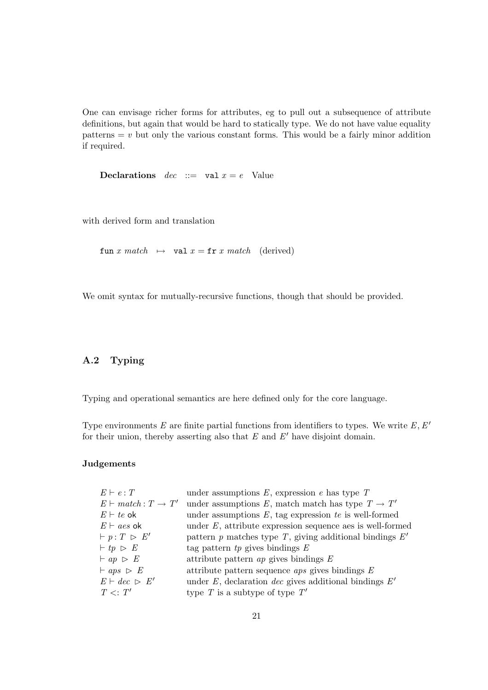One can envisage richer forms for attributes, eg to pull out a subsequence of attribute definitions, but again that would be hard to statically type. We do not have value equality patterns  $= v$  but only the various constant forms. This would be a fairly minor addition if required.

**Declarations** dec ::= val  $x = e$  Value

with derived form and translation

fun x match  $\mapsto$  val  $x = \text{fr} x$  match (derived)

We omit syntax for mutually-recursive functions, though that should be provided.

#### A.2 Typing

Typing and operational semantics are here defined only for the core language.

Type environments E are finite partial functions from identifiers to types. We write  $E, E'$ for their union, thereby asserting also that  $E$  and  $E'$  have disjoint domain.

#### Judgements

| under assumptions $E$ , expression $e$ has type $T$               |
|-------------------------------------------------------------------|
| under assumptions E, match match has type $T \to T'$              |
| under assumptions $E$ , tag expression te is well-formed          |
| under $E$ , attribute expression sequence aes is well-formed      |
| pattern $p$ matches type $T$ , giving additional bindings $E'$    |
| tag pattern $tp$ gives bindings $E$                               |
| attribute pattern $ap$ gives bindings $E$                         |
| attribute pattern sequence <i>aps</i> gives bindings $E$          |
| under $E$ , declaration <i>dec</i> gives additional bindings $E'$ |
| type T is a subtype of type $T'$                                  |
|                                                                   |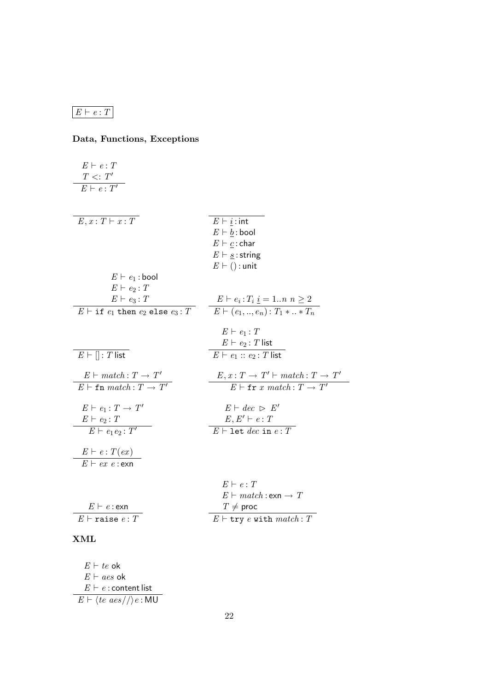# $E \vdash e : T$

# Data, Functions, Exceptions

| $E \vdash e : T$                                                             |                                                                                            |
|------------------------------------------------------------------------------|--------------------------------------------------------------------------------------------|
| $T \langle T \rangle$                                                        |                                                                                            |
| $E \vdash e : T'$                                                            |                                                                                            |
|                                                                              |                                                                                            |
|                                                                              |                                                                                            |
| $E, x: \overline{T \vdash x : T}$                                            | $E \vdash \underline{i}$ : int                                                             |
|                                                                              | $E \vdash \underline{b}$ : bool                                                            |
|                                                                              | $E \vdash \underline{c}$ : char                                                            |
|                                                                              | $E \vdash \underline{s}$ : string                                                          |
|                                                                              | $E \vdash ()$ : unit                                                                       |
| $E \vdash e_1 : \text{bool}$                                                 |                                                                                            |
| $E \vdash e_2 : T$                                                           |                                                                                            |
| $E \vdash e_3 : T$                                                           |                                                                                            |
| $E \vdash \texttt{if} \ e_1 \ \texttt{then} \ e_2 \ \texttt{else} \ e_3 : T$ | $E \vdash e_i : T_i \underline{i} = 1n \ n \geq 2$<br>$E \vdash (e_1,,e_n) : T_1 *  * T_n$ |
|                                                                              |                                                                                            |
|                                                                              | $E \vdash e_1 : T$                                                                         |
|                                                                              | $E \vdash e_2 : T$ list                                                                    |
| $E \vdash \overline{   : T \text{ list}}$                                    | $E \vdash e_1 :: e_2 : T$ list                                                             |
| $E \vdash match : T \rightarrow T'$                                          | $E, x: T \rightarrow T' \vdash match: T \rightarrow T'$                                    |
| $E\vdash \mathtt{fn}~match : T \rightarrow T'$                               | $E \vdash \mathtt{fr} \ x \ match : T \rightarrow T'$                                      |
| $E \vdash e_1 : T \to T'$                                                    | $E \vdash dec \geq E'$                                                                     |
| $E \vdash e_2 : T$                                                           | $E, E' \vdash e : T$                                                                       |
| $E \vdash e_1 e_2 : T'$                                                      | $E \vdash$ let dec in $e : T$                                                              |
| $E \vdash e : T(ex)$                                                         |                                                                                            |
| $E \vdash ex\ e$ : exn                                                       |                                                                                            |
|                                                                              | $E \vdash e : T$                                                                           |
|                                                                              | $E \vdash match : \mathsf{exn} \rightarrow T$                                              |
| $E \vdash e : e \times n$                                                    | $T\neq$ proc                                                                               |
| $E \vdash$ raise $e : T$                                                     | $E \vdash \texttt{try } e \text{ with } match : T$                                         |
|                                                                              |                                                                                            |
|                                                                              |                                                                                            |

#### XML

 $E \vdash te$  ok  $E \vdash a e s$  ok  $E \vdash e :$  content list  $E \vdash \langle te\ aes//\rangle e$  : MU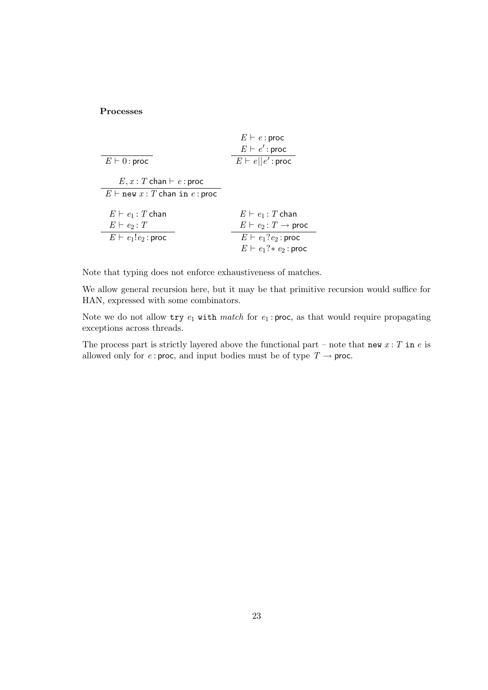#### Processes

|                                       | $E \vdash e : \textsf{proc}$               |
|---------------------------------------|--------------------------------------------|
|                                       | $E \vdash e'$ : proc                       |
| $E \vdash 0:$ proc                    | $E \vdash e  e':\mathsf{proc}$             |
|                                       |                                            |
| $E, x: T$ chan $\vdash e$ : proc      |                                            |
| $E \vdash$ new $x: T$ chan in e: proc |                                            |
|                                       |                                            |
| $E \vdash e_1 : T$ chan               | $E \vdash e_1 : T$ chan                    |
| $E \vdash e_2 : T$                    | $E \vdash e_2 : T \rightarrow \text{proc}$ |
| $E \vdash e_1!e_2$ : proc             | $E \vdash e_1?e_2$ : proc                  |
|                                       | $E \vdash e_1? * e_2$ : proc               |

Note that typing does not enforce exhaustiveness of matches.

We allow general recursion here, but it may be that primitive recursion would suffice for HAN, expressed with some combinators.

Note we do not allow  $\text{try } e_1$  with match for  $e_1$ : proc, as that would require propagating exceptions across threads.

The process part is strictly layered above the functional part – note that new  $x : T$  in e is allowed only for  $e$ : proc, and input bodies must be of type  $T \rightarrow$  proc.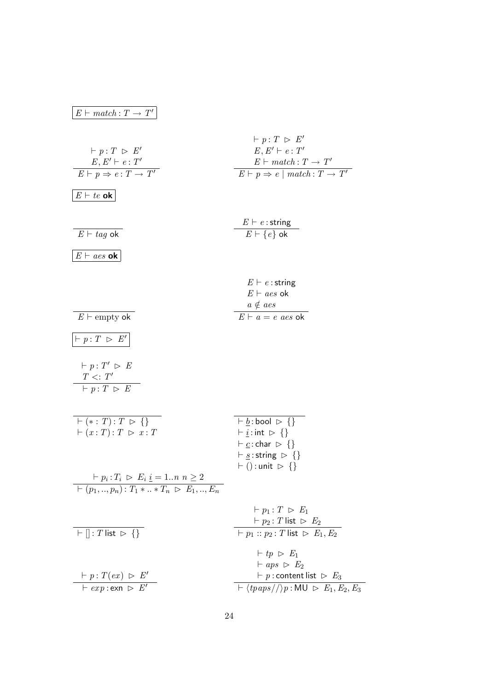| $E \vdash match : T \rightarrow T'$                                                                                                                        |                                                                                                                                                                                                                                        |
|------------------------------------------------------------------------------------------------------------------------------------------------------------|----------------------------------------------------------------------------------------------------------------------------------------------------------------------------------------------------------------------------------------|
| $\vdash p:T \vartriangleright E'$<br>$E, E' \vdash e : T'$<br>$E \vdash p \Rightarrow e : T \rightarrow T'$                                                | $\vdash p:T \geq E'$<br>$E, E' \vdash e : T'$<br>$E \vdash match : T \rightarrow T'$<br>$E \vdash p \Rightarrow e \mid match : T \rightarrow T'$                                                                                       |
| $E \vdash te$ ok                                                                                                                                           |                                                                                                                                                                                                                                        |
| $E \vdash tag$ ok                                                                                                                                          | $E \vdash e$ : string<br>$E \vdash \{e\}$ ok                                                                                                                                                                                           |
| $E \vdash a \textit{es} \; \mathbf{ok}$                                                                                                                    |                                                                                                                                                                                                                                        |
| $E \vdash \text{empty ok}$                                                                                                                                 | $E \vdash e$ : string<br>$E \vdash aes$ ok<br>$a \notin aes$<br>$E\vdash a = e \text{ } a e s \text{ } \mathsf{ok}$                                                                                                                    |
| $ \vdash p:T \geq E' $                                                                                                                                     |                                                                                                                                                                                                                                        |
| $\vdash p:T' \vartriangleright E$<br>$T \langle T \rangle$<br>$\vdash p : \overline{T \rhd E}$                                                             |                                                                                                                                                                                                                                        |
| $\vdash$ (* : T) : T $\triangleright$ {}<br>$\vdash (x:T): T \vartriangleright x:T$<br>$\vdash p_i : T_i \; \rhd \; E_i \; \underline{i} = 1n \; n \geq 2$ | $\vdash$ b: bool $\triangleright$ {}<br>$\vdash$ <i>i</i> : int $\triangleright$ {}<br>$\vdash$ c: char $\triangleright \{\}$<br>$\vdash$ s: string $\triangleright \{\}$<br>$\vdash$ () : unit $\rhd$ {}                              |
| $\vdash (p_1, , p_n): T_1 *  * T_n \triangleright E_1, , E_n$                                                                                              |                                                                                                                                                                                                                                        |
| $\boxed{\vdash \left\  \vdots T \right\  \mathsf{ist} \, \triangleright \, \left\{ \right\}}$                                                              | $\vdash p_1 : T \vartriangleright E_1$<br>$\vdash p_2 : T$ list $\vartriangleright E_2$<br>$\vdash \overline{p_1 :: p_2 : T \text{ list } \triangleright E_1, E_2}$                                                                    |
| $\vdash p : T(ex) \vartriangleright E'$<br>$\overline{f}$ + $\exp$ : $\exp f$                                                                              | $\vdash tp \vartriangleright E_1$<br>$\vdash abs \rhd E_2$<br>$\vdash p$ : content list $\vartriangleright E_3$<br>$\overline{\phantom{h}} \vdash \langle \text{tp} \text{aps} / \mathcal{N} \rangle p : \text{MU} \geq E_1, E_2, E_3$ |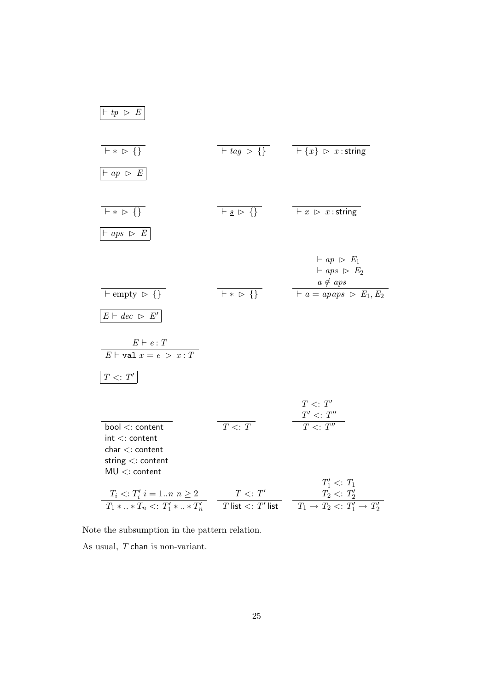| $\vdash tp \; \vartriangleright \; E$                                                                                                                                                                                                                                                                                                     |                           |                                                                                                                                                                   |
|-------------------------------------------------------------------------------------------------------------------------------------------------------------------------------------------------------------------------------------------------------------------------------------------------------------------------------------------|---------------------------|-------------------------------------------------------------------------------------------------------------------------------------------------------------------|
| $F * D \}$<br>$\vdash ap ~\vartriangleright~ E$                                                                                                                                                                                                                                                                                           |                           | $\overline{+ \textit{tag} \triangleright \{\}}$ $\overline{+ \{x\} \triangleright x : \textit{string}}$                                                           |
| $F * D \}$<br>$\vdash abs ~\vartriangleright ~ E$                                                                                                                                                                                                                                                                                         | $F_S \triangleright \{\}$ | $\overline{y} + x \geq x : \text{string}$                                                                                                                         |
| $\leftarrow$ empty $\triangleright$ {}<br>$E \vdash dec \ge E'$                                                                                                                                                                                                                                                                           | $F * D$                   | $\vdash ap \vartriangleright E_1$<br>$\vdash aps \; \rhd \; E_2$<br>$a \not\in \mathit{aps}$<br>$\frac{a \neq ups}{\mid a = apaps \, \triangleright \, E_1, E_2}$ |
| $\frac{E \vdash e : T}{E \vdash \text{val } x = e \; \rhd \; x : T}$<br>$T<: \, T'$<br>bool <: content<br>$int <:$ content<br>char <: content<br>string $\lt$ : content                                                                                                                                                                   | $T \leq T$                | $T<\hspace{-2.5pt}:\hspace{-2.5pt}T'$<br>$T^\prime <: T^{\prime\prime}$<br>$T \leq T''$                                                                           |
| $MU < :$ content<br>$\begin{array}{cc} T_i <: T'_i \; \underline{i} = 1n \; n \geq 2 \\ \hline T_1 * \ldots * T_n <: T'_1 * \ldots * T'_n \end{array} \quad \begin{array}{cc} T <: T' \\ \hline T \; \text{list} <: T' \; \text{list} \end{array} \quad \begin{array}{cc} T_2 <: T'_2 \\ \hline T_1 \to T_2 <: T'_1 \to T'_2 \end{array}$ |                           | $T_1' \ll T_1$                                                                                                                                                    |

Note the subsumption in the pattern relation.

As usual, T chan is non-variant.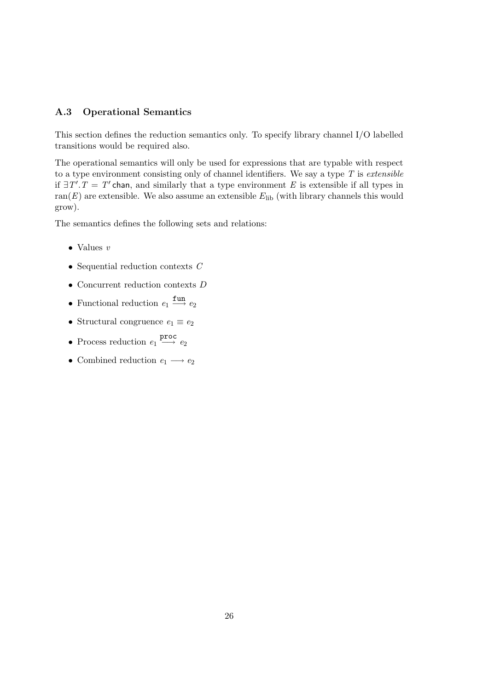#### A.3 Operational Semantics

This section defines the reduction semantics only. To specify library channel I/O labelled transitions would be required also.

The operational semantics will only be used for expressions that are typable with respect to a type environment consisting only of channel identifiers. We say a type  $T$  is extensible if  $\exists T'.T = T'$  chan, and similarly that a type environment E is extensible if all types in ran(E) are extensible. We also assume an extensible  $E_{\text{lib}}$  (with library channels this would grow).

The semantics defines the following sets and relations:

- Values v
- Sequential reduction contexts  $C$
- $\bullet$  Concurrent reduction contexts  $D$
- Functional reduction  $e_1 \xrightarrow{\text{fun}} e_2$
- Structural congruence  $e_1 \equiv e_2$
- Process reduction  $e_1 \stackrel{\text{proc}}{\longrightarrow} e_2$
- Combined reduction  $e_1 \longrightarrow e_2$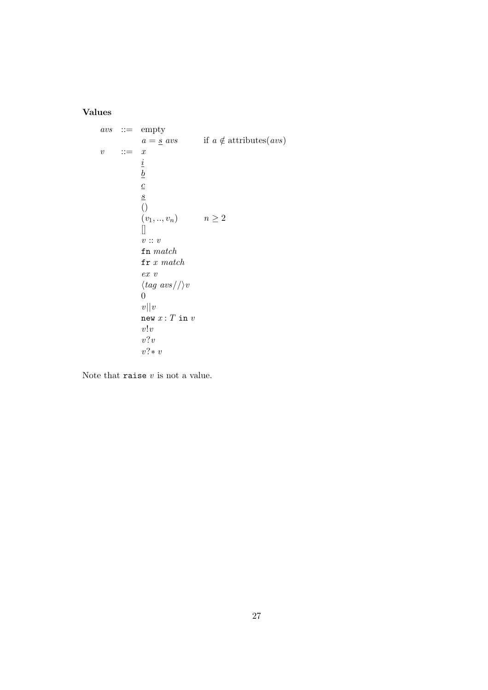#### Values

```
\mathit{avs} \ ::= \ \mathit{empty}a = s avs if a \notin attributes(avs)
v ::= xi
               b
              \overline{c}s
              \overline{()}(v_1, ..., v_n) n \ge 2\overline{\mathbf{r}}v :: v{\tt fn} match\verb|fr|x| matchex v
               \langle tag \, \textit{avs} / \rangle v0
               v||vnew x: T in vv!vv?vv?∗ v
```
Note that raise  $v$  is not a value.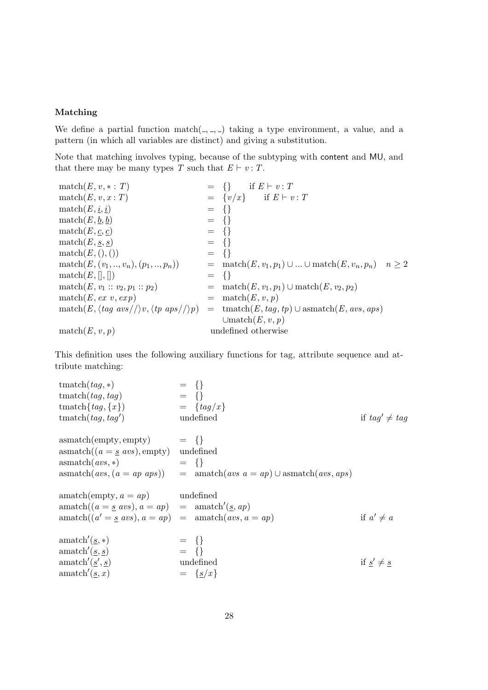#### Matching

We define a partial function match $($ ,  $)$ ,  $)$  taking a type environment, a value, and a pattern (in which all variables are distinct) and giving a substitution.

Note that matching involves typing, because of the subtyping with content and MU, and that there may be many types T such that  $E \vdash v : T$ .

match $(E, v, * : T)$ <br>
match $(E, v, x : T)$  = { $\}$  if  $E \vdash v : T$ <br>
= { $v/x$ } if  $E \vdash v$ =  $\{v/x\}$  if  $E \vdash v : T$ <br>=  $\{\}$ match $(E, \underline{i}, \underline{i})$  = {}<br>match $(E, \underline{b}, \underline{b})$  = {} match $(E, \underline{b}, \underline{b})$  = {}<br>match $(E, \underline{c}, \underline{c})$  = {} match $(E, \underline{c}, \underline{c})$  = {}<br>match $(E, \underline{s}, \underline{s})$  = {} match $(E, \underline{s}, \underline{s})$  = {}<br>match $(E, (),())$  = {} match $(E,(),())$ <br>match $(E,(v_1,..,v_n),(p_1,..,p_n))$ = match $(E, v_1, p_1) \cup ... \cup$  match $(E, v_n, p_n)$   $n \ge 2$ <br>= {} match $(E, []$ ,  $[]$ )<br>match $(E, v_1 :: v_2, p_1 :: p_2)$ = match $(E, v_1, p_1)$   $\cup$  match $(E, v_2, p_2)$ <br>= match $(E, v, p)$  $match(E, ex, v, exp)$ match $(E, \langle tag \, \textit{avs}/\rangle \mid v, \langle tp \, \textit{aps}/\rangle \mid p) = \text{tmatch}(E, \textit{tag}, tp) \cup \text{asmatch}(E, \textit{avs}, \textit{aps})$  $\cup$ match $(E, v, p)$  $match(E, v, p)$  undefined otherwise

This definition uses the following auxiliary functions for tag, attribute sequence and attribute matching:

tmatch $(tag, *)$  = {}<br>tmatch $(tag, tag)$  = {} tmatch $(tag, tag)$  = {}<br>tmatch $\{tag, \{x\}$  =  $\{tag/x\}$ tmatch{tag, {x}) = {tag/x}<br>tmatch(tag, tag') = \[\text{ nm}{\text{ nm}}}  $tmatch(tag, tag')$ if  $taq' \neq taq$  $\text{asmatch}(\text{empty}, \text{empty}) = \{\}$ <br> $\text{asmatch}((a = s \text{ avs}), \text{empty}) \text{undefined}$  $\text{asmatch}((a = s \text{ avs}), \text{empty})$  $\text{asmatch}(avs, *)$  = {}<br>asmatch( $avs, (a = ap \; aps)$ ) = an  $=$  amatch(avs  $a = ap$ ) ∪ asmatch(avs, aps)  $amatch(empty, a = ap)$  undefined  $amatch((a = s \, avs), a = ap)$  $\prime(\underline{s}, ap)$  $\text{amatch}((a' = s \text{ avs}), a = ap) = \text{amatch}(avs, a = ap)$  if a if  $a' \neq a$ amatch 0  $= \{ \}$ amatch 0  $= \{ \}$ amatch'( $\underline{s}$ ' undefined if  $s' \neq s$ amatch'  $= \{s/x\}$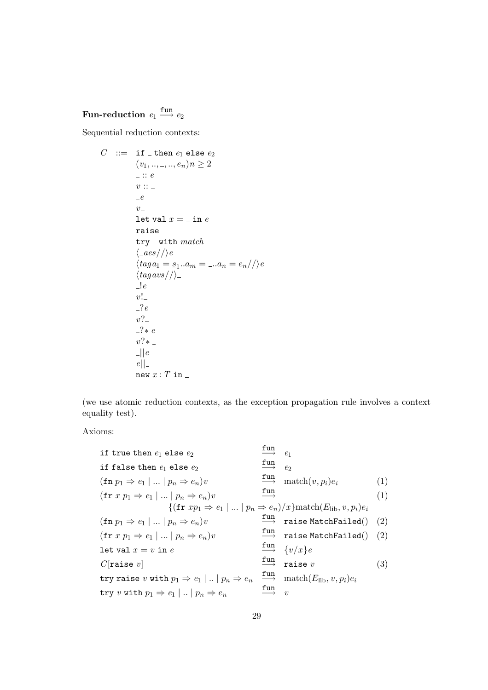# Fun-reduction  $e_1 \stackrel{\text{fun}}{\longrightarrow} e_2$

Sequential reduction contexts:

$$
C ::= \text{ if } \_\text{then } e_1 \text{ else } e_2
$$
\n
$$
(v_1, \ldots, \ldots, e_n) n \ge 2
$$
\n
$$
v ::=
$$
\n
$$
v ::=
$$
\n
$$
e
$$
\n
$$
v ::=
$$
\n
$$
e
$$
\n
$$
v =
$$
\n
$$
v =
$$
\n
$$
v =
$$
\n
$$
v =
$$
\n
$$
v =
$$
\n
$$
v =
$$
\n
$$
v =
$$
\n
$$
v =
$$
\n
$$
v =
$$
\n
$$
v =
$$
\n
$$
v =
$$
\n
$$
v =
$$
\n
$$
v =
$$
\n
$$
v =
$$
\n
$$
v =
$$
\n
$$
v =
$$
\n
$$
v =
$$
\n
$$
v =
$$
\n
$$
v =
$$
\n
$$
v =
$$
\n
$$
v =
$$
\n
$$
v =
$$
\n
$$
v =
$$
\n
$$
v =
$$
\n
$$
v =
$$
\n
$$
v =
$$
\n
$$
v =
$$
\n
$$
v =
$$
\n
$$
v =
$$
\n
$$
v =
$$
\n
$$
v =
$$
\n
$$
v =
$$
\n
$$
v =
$$
\n
$$
v =
$$
\n
$$
v =
$$
\n
$$
v =
$$
\n
$$
v =
$$
\n
$$
v =
$$
\n
$$
v =
$$
\n
$$
v =
$$
\n
$$
v =
$$
\n
$$
v =
$$
\n
$$
v =
$$
\n
$$
v =
$$
\n
$$
v =
$$
\n
$$
v =
$$
\n
$$
v =
$$
\n
$$
v =
$$
\n
$$
v =
$$
\n
$$
v =
$$
\n
$$
v =
$$
\n
$$
v =
$$
\n
$$
v =
$$
\n $$ 

(we use atomic reduction contexts, as the exception propagation rule involves a context equality test).

Axioms:

if true then 
$$
e_1
$$
 else  $e_2$   
\nif false then  $e_1$  else  $e_2$   
\n $(fn\ p_1 \Rightarrow e_1 | ... | p_n \Rightarrow e_n)v$   
\n $(fr\ x p_1 \Rightarrow e_1 | ... | p_n \Rightarrow e_n)v$   
\n $\{(fr\ r x p_1 \Rightarrow e_1 | ... | p_n \Rightarrow e_n)v$   
\n $\{(fr\ r x p_1 \Rightarrow e_1 | ... | p_n \Rightarrow e_n)v$   
\n $(fn\ p_1 \Rightarrow e_1 | ... | p_n \Rightarrow e_n)v$   
\n $(fr\ r x p_1 \Rightarrow e_1 | ... | p_n \Rightarrow e_n)v$   
\n $(fr\ r x p_1 \Rightarrow e_1 | ... | p_n \Rightarrow e_n)v$   
\n $\{\begin{array}{c}\n\text{fun} \\
\text{int} \\
\text{rule} \\
\text{int} \\
\text{int} \\
\text{int} \\
\text{int} \\
\text{int} \\
\text{int} \\
\text{int} \\
\text{int} \\
\text{int} \\
\text{int} \\
\text{int} \\
\text{int} \\
\text{int} \\
\text{int} \\
\text{int} \\
\text{int} \\
\text{int} \\
\text{int} \\
\text{int} \\
\text{int} \\
\text{int} \\
\text{int} \\
\text{int} \\
\text{int} \\
\text{int} \\
\text{int} \\
\text{int} \\
\text{int} \\
\text{int} \\
\text{int} \\
\text{int} \\
\text{int} \\
\text{int} \\
\text{int} \\
\text{int} \\
\text{int} \\
\text{int} \\
\text{int} \\
\text{int} \\
\text{int} \\
\text{int} \\
\text{int} \\
\text{int} \\
\text{int} \\
\text{int} \\
\text{int} \\
\text{int} \\
\text{int} \\
\text{int} \\
\text{int} \\
\text{int} \\
\text{int} \\
\text{int} \\
\text{int} \\
\text{int} \\
\text{int} \\
\text{int} \\
\text{int} \\
\text{int} \\
\text{int} \\
\text{int} \\
\text{int} \\
\text{int} \\
\text{int} \\
\text{int} \\
\text{int} \\
\text{int} \\
\text{int} \\
\text{int} \\
\text{int} \\
\text{int} \\
\text{int} \\
\text{int} \\
\text{int} \\
\text{int} \\
\text{int} \\
\text{int} \\
\text{int} \\
\text{int} \\
\text$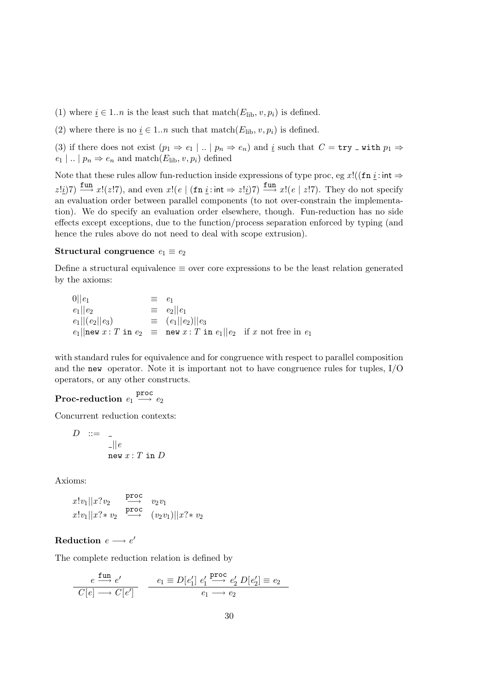- (1) where  $i \in 1..n$  is the least such that match( $E_{\text{lib}}$ ,  $v, p_i$ ) is defined.
- (2) where there is no  $i \in 1..n$  such that match( $E_{\text{lib}}$ ,  $v, p_i$ ) is defined.

(3) if there does not exist  $(p_1 \Rightarrow e_1 \mid .. \mid p_n \Rightarrow e_n)$  and <u>i</u> such that  $C = \text{try }$  with  $p_1 \Rightarrow$  $e_1 |$  ...  $| p_n \Rightarrow e_n$  and match( $E_{\text{lib}}$ ,  $v, p_i$ ) defined

Note that these rules allow fun-reduction inside expressions of type proc, eg x!((fn i: int  $\Rightarrow$  $z \perp i/7$ )  $\frac{\text{fun}}{\longrightarrow} x!(z \cdot 7)$ , and even  $x!$   $(e \mid (\text{fn } i : \text{int} \Rightarrow z! i)/7)$   $\frac{\text{fun}}{\longrightarrow} x!$   $(e \mid z!7)$ . They do not specify an evaluation order between parallel components (to not over-constrain the implementation). We do specify an evaluation order elsewhere, though. Fun-reduction has no side effects except exceptions, due to the function/process separation enforced by typing (and hence the rules above do not need to deal with scope extrusion).

#### Structural congruence  $e_1 \equiv e_2$

Define a structural equivalence  $\equiv$  over core expressions to be the least relation generated by the axioms:

0 $||e_1$   $\equiv e_1$ <br>  $e_1||e_2$   $\equiv e_2$  $e_1||e_2 = e_2||e_1$ <br>  $e_1||(e_2||e_3) = (e_1||e_2)||e_3$  $e_1||(e_2||e_3)$   $\equiv (e_1||e_2)||e_3$  $e_1$ ||new  $x: T$  in  $e_2 \equiv$  new  $x: T$  in  $e_1$ || $e_2$  if  $x$  not free in  $e_1$ 

with standard rules for equivalence and for congruence with respect to parallel composition and the new operator. Note it is important not to have congruence rules for tuples, I/O operators, or any other constructs.

# $\textbf{Proc-reduction} \ \textit{e}_{1} \overset{\textbf{proc}}{\longrightarrow} \textit{e}_{2}$

Concurrent reduction contexts:

$$
D \quad ::= \quad \_ \\ \qquad \qquad \frac{\_}{\_} || e
$$
\n
$$
\text{new } x : T \text{ in } D
$$

Axioms:

 $x!v_1||x?v_2 \xrightarrow{\text{proc}} v_2v_1$  $x!v_1||x? \ast v_2 \xrightarrow{\text{proc}} (v_2v_1)||x? \ast v_2$ 

# $\textbf{Reduction} \ \textit{e} \longrightarrow \textit{e}'$

The complete reduction relation is defined by

$$
\frac{e \xrightarrow{\text{fun}} e'}{C[e] \longrightarrow C[e']} \qquad \frac{e_1 \equiv D[e'_1] \ e'_1 \xrightarrow{\text{proc}} e'_2 D[e'_2] \equiv e_2}{e_1 \longrightarrow e_2}
$$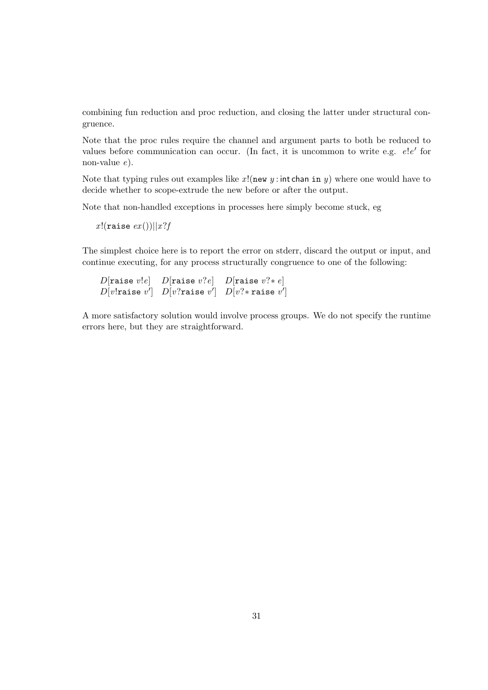combining fun reduction and proc reduction, and closing the latter under structural congruence.

Note that the proc rules require the channel and argument parts to both be reduced to values before communication can occur. (In fact, it is uncommon to write e.g.  $e!e'$  for non-value e).

Note that typing rules out examples like  $x!(new \, y : int chan \, in \, y)$  where one would have to decide whether to scope-extrude the new before or after the output.

Note that non-handled exceptions in processes here simply become stuck, eg

x!(raise  $ex()$ )||x?f

The simplest choice here is to report the error on stderr, discard the output or input, and continue executing, for any process structurally congruence to one of the following:

 $D[$ raise  $v!e]$   $D[$ raise  $v?e]$   $D[$ raise  $v?*e]$  $D[v!$ raise  $v']$   $D[v?$ raise  $v']$   $D[v? * \texttt{raise } v']$ 

A more satisfactory solution would involve process groups. We do not specify the runtime errors here, but they are straightforward.